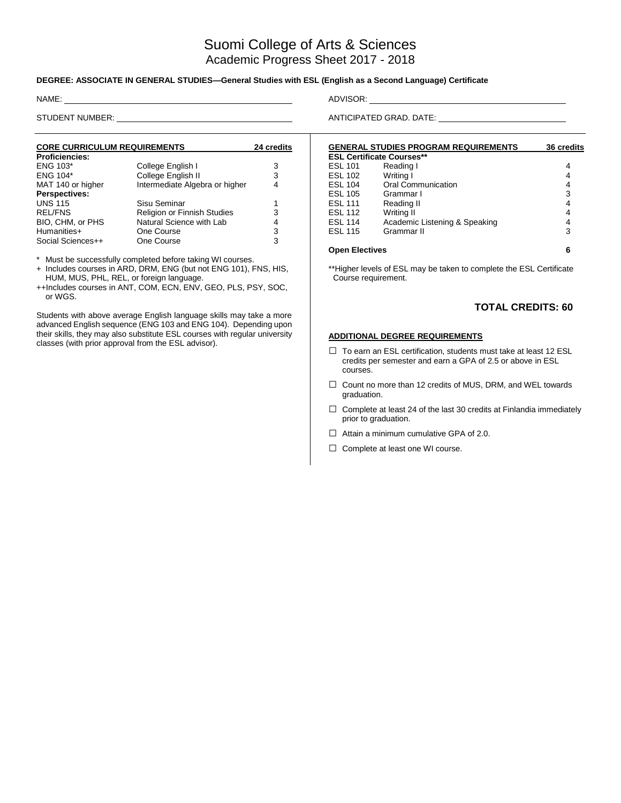# Suomi College of Arts & Sciences Academic Progress Sheet 2017 - 2018

#### **DEGREE: ASSOCIATE IN GENERAL STUDIES—General Studies with ESL (English as a Second Language) Certificate**

| <b>CORE CURRICULUM REQUIREMENTS</b> | 24 credits                     |   |
|-------------------------------------|--------------------------------|---|
| <b>Proficiencies:</b>               |                                |   |
| <b>ENG 103*</b>                     | College English I              | 3 |
| <b>ENG 104*</b>                     | College English II             | 3 |
| MAT 140 or higher                   | Intermediate Algebra or higher | 4 |
| <b>Perspectives:</b>                |                                |   |
| <b>UNS 115</b>                      | Sisu Seminar                   | 1 |
| <b>REL/FNS</b>                      | Religion or Finnish Studies    | 3 |
| BIO, CHM, or PHS                    | Natural Science with Lab       | 4 |
| Humanities+                         | One Course                     | 3 |
| Social Sciences++                   | One Course                     | 3 |

\* Must be successfully completed before taking WI courses.

+ Includes courses in ARD, DRM, ENG (but not ENG 101), FNS, HIS, HUM, MUS, PHL, REL, or foreign language.

++Includes courses in ANT, COM, ECN, ENV, GEO, PLS, PSY, SOC, or WGS.

Students with above average English language skills may take a more advanced English sequence (ENG 103 and ENG 104). Depending upon their skills, they may also substitute ESL courses with regular university classes (with prior approval from the ESL advisor).

NAME: ADVISOR:

STUDENT NUMBER: ANTICIPATED GRAD. DATE:

|                                  | <b>GENERAL STUDIES PROGRAM REQUIREMENTS</b> | <b>36 credits</b> |
|----------------------------------|---------------------------------------------|-------------------|
| <b>ESL Certificate Courses**</b> |                                             |                   |
| <b>ESL 101</b>                   | Reading I                                   | 4                 |
| <b>ESL 102</b>                   | Writing I                                   | 4                 |
| <b>ESL 104</b>                   | Oral Communication                          | 4                 |
| <b>ESL 105</b>                   | Grammar I                                   | 3                 |
| <b>ESL 111</b>                   | Reading II                                  | 4                 |
| <b>ESL 112</b>                   | Writing II                                  | 4                 |
| <b>ESL 114</b>                   | Academic Listening & Speaking               | 4                 |
| <b>ESL 115</b>                   | Grammar II                                  | 3                 |
| <b>Open Electives</b>            | 6                                           |                   |

\*\*Higher levels of ESL may be taken to complete the ESL Certificate Course requirement.

### **TOTAL CREDITS: 60**

#### **ADDITIONAL DEGREE REQUIREMENTS**

- $\Box$  To earn an ESL certification, students must take at least 12 ESL credits per semester and earn a GPA of 2.5 or above in ESL courses.
- □ Count no more than 12 credits of MUS, DRM, and WEL towards graduation.
- $\Box$  Complete at least 24 of the last 30 credits at Finlandia immediately prior to graduation.
- $\Box$  Attain a minimum cumulative GPA of 2.0.
- □ Complete at least one WI course.